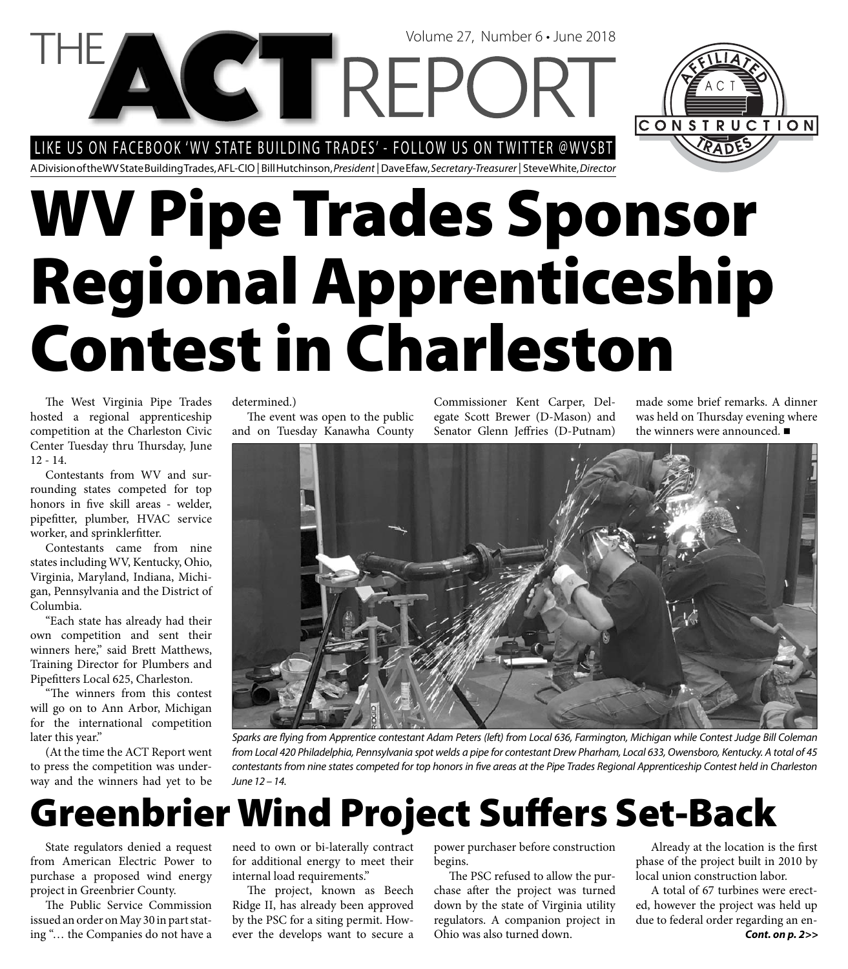#### LIKE US ON FACEBOOK 'WV STATE BUILDING TRADES' - FOLLOW US ON TWITTER @WVSBT

A Division of the WV State Building Trades, AFL-CIO | Bill Hutchinson, President | Dave Efaw, Secretary-Treasurer | Steve White, Director

# **WV Pipe Trades Sponsor Regional Apprenticeship Contest in Charleston**

Volume 27, Number 6 • June 2018

The West Virginia Pipe Trades hosted a regional apprenticeship competition at the Charleston Civic Center Tuesday thru Thursday, June 12 - 14.

Contestants from WV and surrounding states competed for top honors in five skill areas - welder, pipefitter, plumber, HVAC service worker, and sprinklerfitter.

Contestants came from nine states including WV, Kentucky, Ohio, Virginia, Maryland, Indiana, Michigan, Pennsylvania and the District of Columbia.

"Each state has already had their own competition and sent their winners here," said Brett Matthews, Training Director for Plumbers and Pipefitters Local 625, Charleston.

"The winners from this contest will go on to Ann Arbor, Michigan for the international competition later this year."

(At the time the ACT Report went to press the competition was underway and the winners had yet to be determined.)

The event was open to the public and on Tuesday Kanawha County Commissioner Kent Carper, Delegate Scott Brewer (D-Mason) and Senator Glenn Jeffries (D-Putnam)

made some brief remarks. A dinner was held on Thursday evening where the winners were announced. ■

CONSTRUCTION



Sparks are flying from Apprentice contestant Adam Peters (left) from Local 636, Farmington, Michigan while Contest Judge Bill Coleman from Local 420 Philadelphia, Pennsylvania spot welds a pipe for contestant Drew Pharham, Local 633, Owensboro, Kentucky. A total of 45 contestants from nine states competed for top honors in five areas at the Pipe Trades Regional Apprenticeship Contest held in Charleston June 12 – 14.

### **Greenbrier Wind Project Suff ers Set-Back**

State regulators denied a request from American Electric Power to purchase a proposed wind energy project in Greenbrier County.

The Public Service Commission issued an order on May 30 in part stating "… the Companies do not have a

need to own or bi-laterally contract for additional energy to meet their internal load requirements."

The project, known as Beech Ridge II, has already been approved by the PSC for a siting permit. However the develops want to secure a power purchaser before construction begins.

The PSC refused to allow the purchase after the project was turned down by the state of Virginia utility regulators. A companion project in Ohio was also turned down.

Already at the location is the first phase of the project built in 2010 by local union construction labor.

A total of 67 turbines were erected, however the project was held up due to federal order regarding an en-*Cont. on p. 2>>*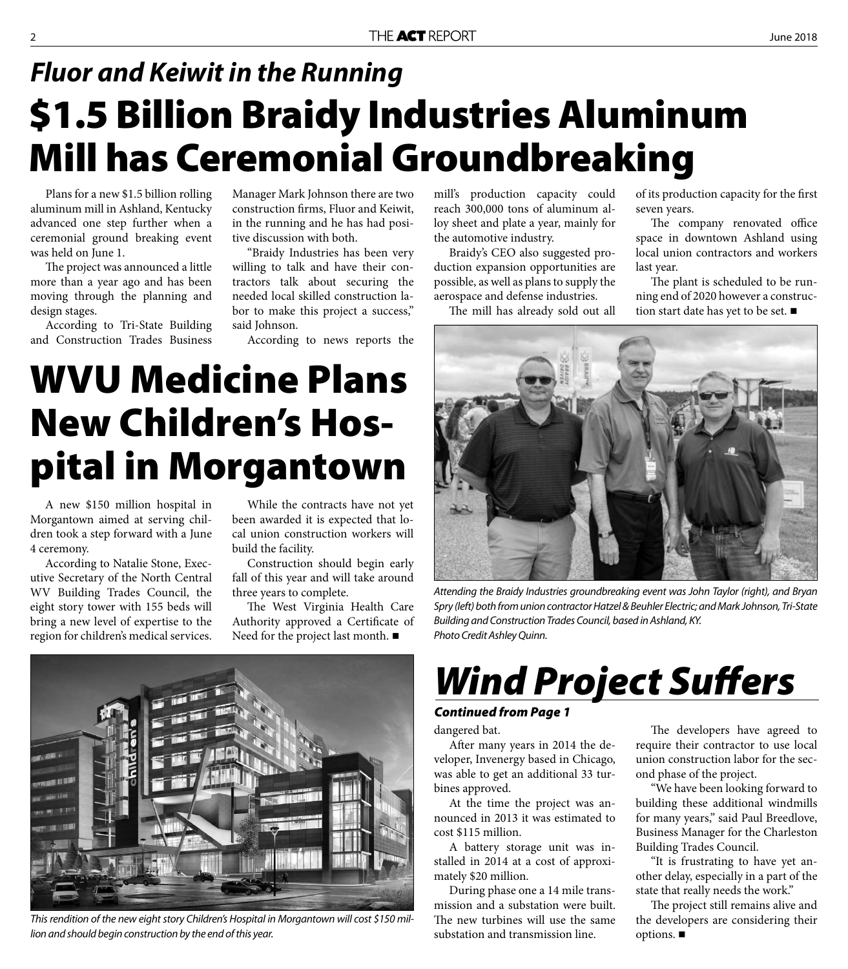### **\$1.5 Billion Braidy Industries Aluminum Mill has Ceremonial Groundbreaking** *Fluor and Keiwit in the Running*

Plans for a new \$1.5 billion rolling aluminum mill in Ashland, Kentucky advanced one step further when a ceremonial ground breaking event was held on June 1.

The project was announced a little more than a year ago and has been moving through the planning and design stages.

According to Tri-State Building and Construction Trades Business

A new \$150 million hospital in Morgantown aimed at serving children took a step forward with a June

According to Natalie Stone, Executive Secretary of the North Central WV Building Trades Council, the eight story tower with 155 beds will bring a new level of expertise to the region for children's medical services.

4 ceremony.

Manager Mark Johnson there are two construction firms, Fluor and Keiwit, in the running and he has had positive discussion with both.

"Braidy Industries has been very willing to talk and have their contractors talk about securing the needed local skilled construction labor to make this project a success," said Johnson.

According to news reports the

While the contracts have not yet been awarded it is expected that local union construction workers will

Construction should begin early fall of this year and will take around

The West Virginia Health Care Authority approved a Certificate of Need for the project last month.

build the facility.

three years to complete.

mill's production capacity could reach 300,000 tons of aluminum alloy sheet and plate a year, mainly for the automotive industry.

Braidy's CEO also suggested production expansion opportunities are possible, as well as plans to supply the aerospace and defense industries.

The mill has already sold out all

of its production capacity for the first seven years.

The company renovated office space in downtown Ashland using local union contractors and workers last year.

The plant is scheduled to be running end of 2020 however a construction start date has yet to be set. ■



Attending the Braidy Industries groundbreaking event was John Taylor (right), and Bryan Spry (left) both from union contractor Hatzel & Beuhler Electric; and Mark Johnson, Tri-State Building and Construction Trades Council, based in Ashland, KY. Photo Credit Ashley Quinn.

**WVU Medicine Plans** 

**New Children's Hos-**

**pital in Morgantown**

This rendition of the new eight story Children's Hospital in Morgantown will cost \$150 million and should begin construction by the end of this year.

**Wind Project Suffers** 

#### *Continued from Page 1*

dangered bat.

After many years in 2014 the developer, Invenergy based in Chicago, was able to get an additional 33 turbines approved.

At the time the project was announced in 2013 it was estimated to cost \$115 million.

A battery storage unit was installed in 2014 at a cost of approximately \$20 million.

During phase one a 14 mile transmission and a substation were built. The new turbines will use the same substation and transmission line.

The developers have agreed to require their contractor to use local union construction labor for the second phase of the project.

"We have been looking forward to building these additional windmills for many years," said Paul Breedlove, Business Manager for the Charleston Building Trades Council.

"It is frustrating to have yet another delay, especially in a part of the state that really needs the work."

The project still remains alive and the developers are considering their options.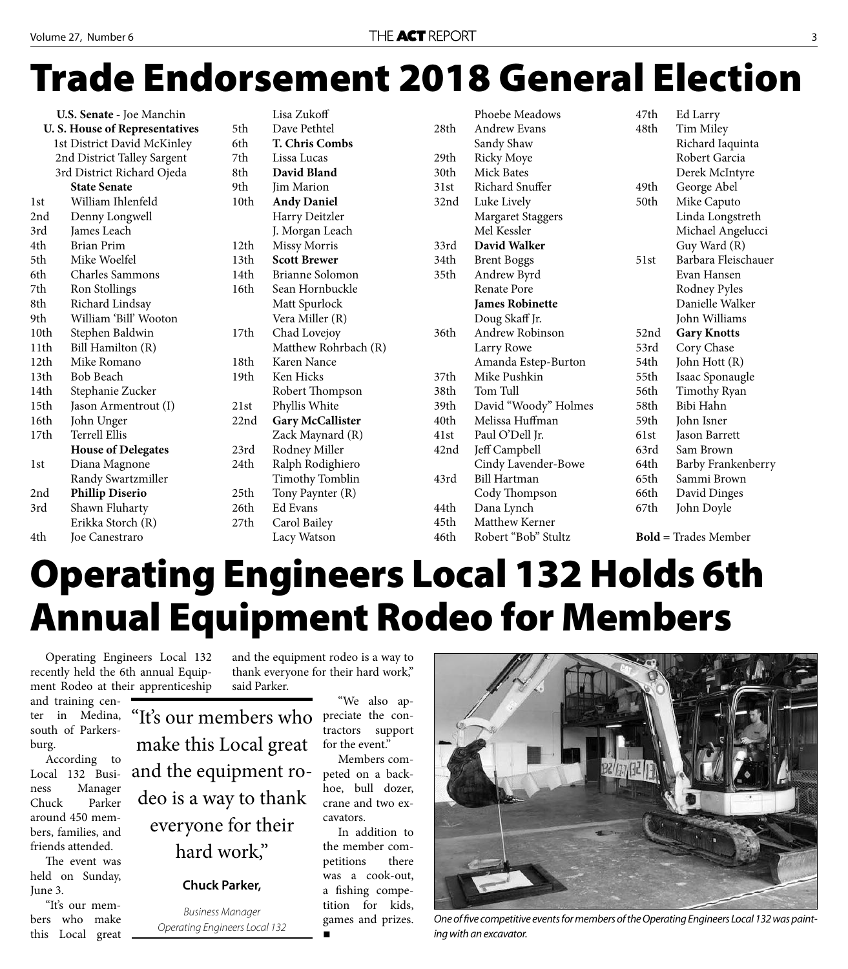## **Trade Endorsement 2018 General Election**

|                                      | U.S. Senate - Joe Manchin |      | Lisa Zukoff       |
|--------------------------------------|---------------------------|------|-------------------|
| <b>U.S. House of Representatives</b> |                           | 5th  | Dave Pethte       |
| 1st District David McKinley          |                           | 6th  | T. Chris Co       |
| 2nd District Talley Sargent          |                           | 7th  | Lissa Lucas       |
| 3rd District Richard Ojeda           |                           | 8th  | David Blan        |
|                                      | <b>State Senate</b>       | 9th  | Jim Marion        |
| 1st                                  | William Ihlenfeld         | 10th | <b>Andy Dani</b>  |
| 2nd                                  | Denny Longwell            |      | Harry Deitz       |
| 3rd                                  | James Leach               |      | J. Morgan L       |
| 4th                                  | <b>Brian Prim</b>         | 12th | Missy Morr        |
| 5th                                  | Mike Woelfel              | 13th | <b>Scott Brew</b> |
| 6th                                  | <b>Charles Sammons</b>    | 14th | Brianne Sol       |
| 7th                                  | Ron Stollings             | 16th | Sean Hornb        |
| 8th                                  | Richard Lindsay           |      | Matt Spurlo       |
| 9th                                  | William 'Bill' Wooton     |      | Vera Miller       |
| 10th                                 | Stephen Baldwin           | 17th | Chad Lovej        |
| 11th                                 | Bill Hamilton (R)         |      | Matthew Ro        |
| 12th                                 | Mike Romano               | 18th | Karen Nanc        |
| 13th                                 | <b>Bob Beach</b>          | 19th | Ken Hicks         |
| 14th                                 | Stephanie Zucker          |      | Robert Tho        |
| 15th                                 | Jason Armentrout (I)      | 21st | Phyllis Whi       |
| 16th                                 | John Unger                | 22nd | Gary McCa         |
| 17th                                 | Terrell Ellis             |      | Zack Mayna        |
|                                      | <b>House of Delegates</b> | 23rd | Rodney Mil        |
| 1st                                  | Diana Magnone             | 24th | Ralph Rodi        |
|                                      | Randy Swartzmiller        |      | Timothy To        |
| 2nd                                  | <b>Phillip Diserio</b>    | 25th | Tony Paynt        |
| 3rd                                  | Shawn Fluharty            | 26th | Ed Evans          |
|                                      | Erikka Storch (R)         | 27th | Carol Bailey      |
| 4th                                  | Joe Canestraro            |      | Lacy Watso        |
|                                      |                           |      |                   |

|      | ыза дикоп               |  |  |
|------|-------------------------|--|--|
| 5th  | Dave Pethtel            |  |  |
| 6th  | <b>T. Chris Combs</b>   |  |  |
| 7th  | Lissa Lucas             |  |  |
| 8th  | David Bland             |  |  |
| 9th  | Jim Marion              |  |  |
| 10th | <b>Andy Daniel</b>      |  |  |
|      | Harry Deitzler          |  |  |
|      | J. Morgan Leach         |  |  |
| 12th | <b>Missy Morris</b>     |  |  |
| 13th | <b>Scott Brewer</b>     |  |  |
| 14th | Brianne Solomon         |  |  |
| 16th | Sean Hornbuckle         |  |  |
|      | Matt Spurlock           |  |  |
|      | Vera Miller (R)         |  |  |
| 17th | Chad Lovejoy            |  |  |
|      | Matthew Rohrbach (R)    |  |  |
| 18th | Karen Nance             |  |  |
| 19th | Ken Hicks               |  |  |
|      | Robert Thompson         |  |  |
| 21st | Phyllis White           |  |  |
| 22nd | <b>Gary McCallister</b> |  |  |
|      | Zack Maynard (R)        |  |  |
| 23rd | Rodney Miller           |  |  |
| 24th | Ralph Rodighiero        |  |  |
|      | Timothy Tomblin         |  |  |
| 25th | Tony Paynter (R)        |  |  |
| 26th | Ed Evans                |  |  |
| 27th | Carol Bailey            |  |  |
|      | Lacy Watson             |  |  |

|      | Phoebe Meadows         | 47th | Ed Larry                    |
|------|------------------------|------|-----------------------------|
| 28th | <b>Andrew Evans</b>    | 48th | Tim Miley                   |
|      | Sandy Shaw             |      | Richard Iaquinta            |
| 29th | <b>Ricky Moye</b>      |      | Robert Garcia               |
| 30th | <b>Mick Bates</b>      |      | Derek McIntyre              |
| 31st | Richard Snuffer        | 49th | George Abel                 |
| 32nd | Luke Lively            | 50th | Mike Caputo                 |
|      | Margaret Staggers      |      | Linda Longstreth            |
|      | Mel Kessler            |      | Michael Angelucci           |
| 33rd | David Walker           |      | Guy Ward (R)                |
| 34th | <b>Brent Boggs</b>     | 51st | Barbara Fleischauer         |
| 35th | Andrew Byrd            |      | Evan Hansen                 |
|      | <b>Renate Pore</b>     |      | Rodney Pyles                |
|      | <b>James Robinette</b> |      | Danielle Walker             |
|      | Doug Skaff Jr.         |      | John Williams               |
| 36th | <b>Andrew Robinson</b> | 52nd | <b>Gary Knotts</b>          |
|      | Larry Rowe             | 53rd | Cory Chase                  |
|      | Amanda Estep-Burton    | 54th | John Hott (R)               |
| 37th | Mike Pushkin           | 55th | Isaac Sponaugle             |
| 38th | Tom Tull               | 56th | Timothy Ryan                |
| 39th | David "Woody" Holmes   | 58th | Bibi Hahn                   |
| 40th | Melissa Huffman        | 59th | John Isner                  |
| 41st | Paul O'Dell Jr.        | 61st | Jason Barrett               |
| 42nd | Jeff Campbell          | 63rd | Sam Brown                   |
|      | Cindy Lavender-Bowe    | 64th | Barby Frankenberry          |
| 43rd | <b>Bill Hartman</b>    | 65th | Sammi Brown                 |
|      | Cody Thompson          | 66th | David Dinges                |
| 44th | Dana Lynch             | 67th | John Doyle                  |
| 45th | Matthew Kerner         |      |                             |
| 46th | Robert "Bob" Stultz    |      | <b>Bold</b> = Trades Member |

### **Operating Engineers Local 132 Holds 6th Annual Equipment Rodeo for Members**

Operating Engineers Local 132 recently held the 6th annual Equipment Rodeo at their apprenticeship

and training center in Medina, south of Parkersburg.

According to Local 132 Business Manager Chuck Parker around 450 members, families, and friends attended.

The event was held on Sunday, June 3.

"It's our members who make this Local great and the equipment rodeo is a way to thank everyone for their hard work," said Parker.

"It's our members who make this Local great and the equipment rodeo is a way to thank everyone for their hard work,"

#### **Chuck Parker,**

Business Manager Operating Engineers Local 132

"We also ap-

preciate the contractors support for the event."

Members competed on a backhoe, bull dozer, crane and two excavators.

In addition to the member competitions there was a cook-out, a fishing competition for kids, games and prizes. 



One of five competitive events for members of the Operating Engineers Local 132 was painting with an excavator.